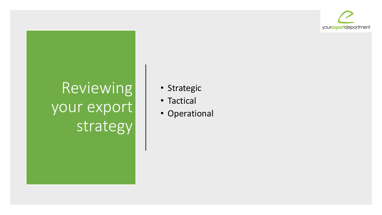

## Reviewing your export strategy

- Strategic
- Tactical
- Operational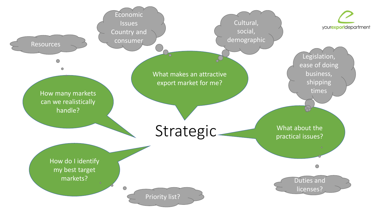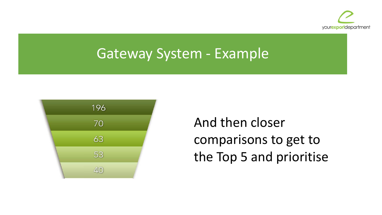

## Gateway System - Example



And then closer comparisons to get to the Top 5 and prioritise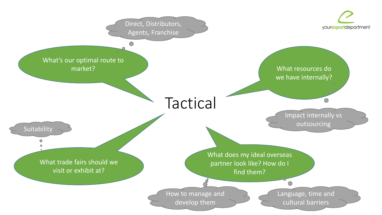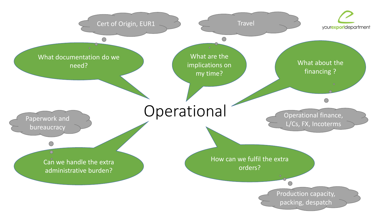